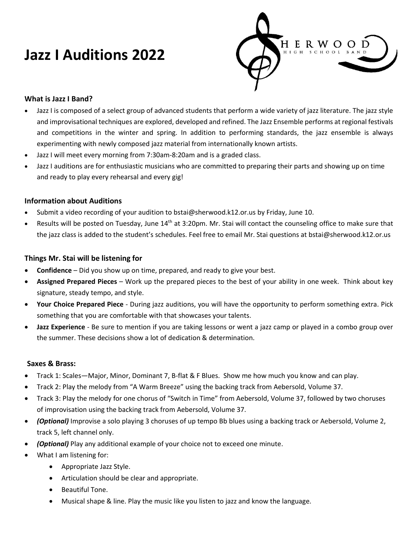# **Jazz I Auditions 2022**



## **What is Jazz I Band?**

- Jazz I is composed of a select group of advanced students that perform a wide variety of jazz literature. The jazz style and improvisational techniques are explored, developed and refined. The Jazz Ensemble performs at regional festivals and competitions in the winter and spring. In addition to performing standards, the jazz ensemble is always experimenting with newly composed jazz material from internationally known artists.
- Jazz I will meet every morning from 7:30am-8:20am and is a graded class.
- Jazz I auditions are for enthusiastic musicians who are committed to preparing their parts and showing up on time and ready to play every rehearsal and every gig!

## **Information about Auditions**

- Submit a video recording of your audition to bstai@sherwood.k12.or.us by Friday, June 10.
- Results will be posted on Tuesday, June 14<sup>th</sup> at 3:20pm. Mr. Stai will contact the counseling office to make sure that the jazz class is added to the student's schedules. Feel free to email Mr. Stai questions at bstai@sherwood.k12.or.us

# **Things Mr. Stai will be listening for**

- **Confidence** Did you show up on time, prepared, and ready to give your best.
- **Assigned Prepared Pieces**  Work up the prepared pieces to the best of your ability in one week. Think about key signature, steady tempo, and style.
- **Your Choice Prepared Piece**  During jazz auditions, you will have the opportunity to perform something extra. Pick something that you are comfortable with that showcases your talents.
- **Jazz Experience** Be sure to mention if you are taking lessons or went a jazz camp or played in a combo group over the summer. These decisions show a lot of dedication & determination.

## **Saxes & Brass:**

- Track 1: Scales—Major, Minor, Dominant 7, B-flat & F Blues. Show me how much you know and can play.
- Track 2: Play the melody from "A Warm Breeze" using the backing track from Aebersold, Volume 37.
- Track 3: Play the melody for one chorus of "Switch in Time" from Aebersold, Volume 37, followed by two choruses of improvisation using the backing track from Aebersold, Volume 37.
- *(Optional)* Improvise a solo playing 3 choruses of up tempo Bb blues using a backing track or Aebersold, Volume 2, track 5, left channel only.
- *(Optional)* Play any additional example of your choice not to exceed one minute.
- What I am listening for:
	- Appropriate Jazz Style.
	- Articulation should be clear and appropriate.
	- Beautiful Tone.
	- Musical shape & line. Play the music like you listen to jazz and know the language.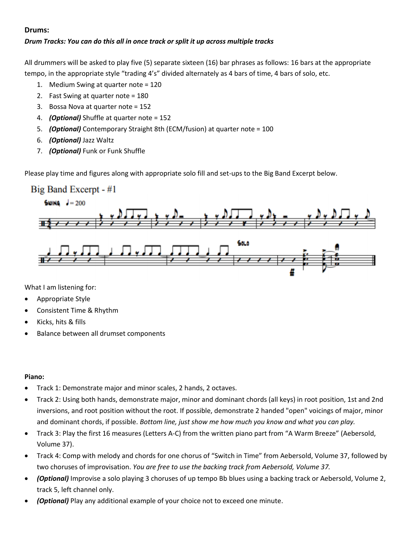#### **Drums:**

## *Drum Tracks: You can do this all in once track or split it up across multiple tracks*

All drummers will be asked to play five (5) separate sixteen (16) bar phrases as follows: 16 bars at the appropriate tempo, in the appropriate style "trading 4's" divided alternately as 4 bars of time, 4 bars of solo, etc.

- 1. Medium Swing at quarter note = 120
- 2. Fast Swing at quarter note = 180
- 3. Bossa Nova at quarter note = 152
- 4. *(Optional)* Shuffle at quarter note = 152
- 5. *(Optional)* Contemporary Straight 8th (ECM/fusion) at quarter note = 100
- 6. *(Optional)* Jazz Waltz
- 7. *(Optional)* Funk or Funk Shuffle

Please play time and figures along with appropriate solo fill and set-ups to the Big Band Excerpt below.

# Big Band Excerpt - #1





What I am listening for:

- Appropriate Style
- Consistent Time & Rhythm
- Kicks, hits & fills
- Balance between all drumset components

#### **Piano:**

- Track 1: Demonstrate major and minor scales, 2 hands, 2 octaves.
- Track 2: Using both hands, demonstrate major, minor and dominant chords (all keys) in root position, 1st and 2nd inversions, and root position without the root. If possible, demonstrate 2 handed "open" voicings of major, minor and dominant chords, if possible. *Bottom line, just show me how much you know and what you can play.*
- Track 3: Play the first 16 measures (Letters A-C) from the written piano part from "A Warm Breeze" (Aebersold, Volume 37).
- Track 4: Comp with melody and chords for one chorus of "Switch in Time" from Aebersold, Volume 37, followed by two choruses of improvisation. *You are free to use the backing track from Aebersold, Volume 37.*
- *(Optional)* Improvise a solo playing 3 choruses of up tempo Bb blues using a backing track or Aebersold, Volume 2, track 5, left channel only.
- *(Optional)* Play any additional example of your choice not to exceed one minute.